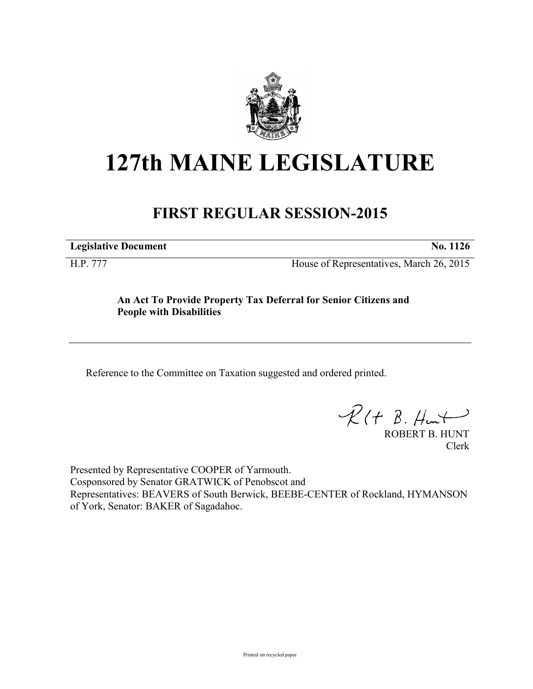

# **127th MAINE LEGISLATURE**

# **FIRST REGULAR SESSION-2015**

**Legislative Document No. 1126**

H.P. 777 House of Representatives, March 26, 2015

## **An Act To Provide Property Tax Deferral for Senior Citizens and People with Disabilities**

Reference to the Committee on Taxation suggested and ordered printed.

 $\mathcal{R}(t \; \mathcal{B}, \#m\rightarrow)$ 

ROBERT B. HUNT Clerk

Presented by Representative COOPER of Yarmouth. Cosponsored by Senator GRATWICK of Penobscot and Representatives: BEAVERS of South Berwick, BEEBE-CENTER of Rockland, HYMANSON of York, Senator: BAKER of Sagadahoc.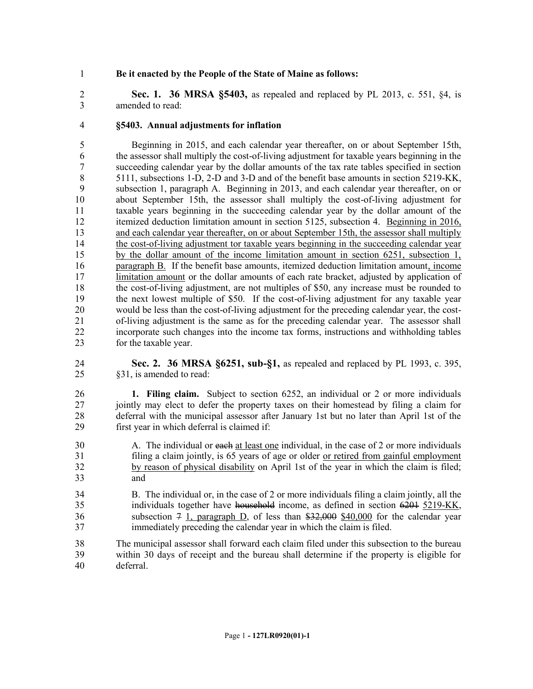### **Be it enacted by the People of the State of Maine as follows:**

 **Sec. 1. 36 MRSA §5403,** as repealed and replaced by PL 2013, c. 551, §4, is amended to read:

#### **§5403. Annual adjustments for inflation**

 Beginning in 2015, and each calendar year thereafter, on or about September 15th, the assessor shall multiply the cost-of-living adjustment for taxable years beginning in the succeeding calendar year by the dollar amounts of the tax rate tables specified in section 5111, subsections 1-D, 2-D and 3-D and of the benefit base amounts in section 5219-KK, subsection 1, paragraph A. Beginning in 2013, and each calendar year thereafter, on or about September 15th, the assessor shall multiply the cost-of-living adjustment for taxable years beginning in the succeeding calendar year by the dollar amount of the itemized deduction limitation amount in section 5125, subsection 4. Beginning in 2016, and each calendar year thereafter, on or about September 15th, the assessor shall multiply the cost-of-living adjustment tor taxable years beginning in the succeeding calendar year by the dollar amount of the income limitation amount in section 6251, subsection 1, paragraph B. If the benefit base amounts, itemized deduction limitation amount, income 17 limitation amount or the dollar amounts of each rate bracket, adjusted by application of the cost-of-living adjustment, are not multiples of \$50, any increase must be rounded to the next lowest multiple of \$50. If the cost-of-living adjustment for any taxable year would be less than the cost-of-living adjustment for the preceding calendar year, the cost- of-living adjustment is the same as for the preceding calendar year. The assessor shall incorporate such changes into the income tax forms, instructions and withholding tables for the taxable year.

 **Sec. 2. 36 MRSA §6251, sub-§1,** as repealed and replaced by PL 1993, c. 395, §31, is amended to read:

 **1. Filing claim.** Subject to section 6252, an individual or 2 or more individuals jointly may elect to defer the property taxes on their homestead by filing a claim for 28 deferral with the municipal assessor after January 1st but no later than April 1st of the first vear in which deferral is claimed if: first year in which deferral is claimed if:

- 30 A. The individual or each at least one individual, in the case of 2 or more individuals filing a claim jointly, is 65 years of age or older or retired from gainful employment by reason of physical disability on April 1st of the year in which the claim is filed; and
- B. The individual or, in the case of 2 or more individuals filing a claim jointly, all the 35 individuals together have household income, as defined in section 6201 5219-KK, 36 subsection  $\frac{4}{7}$  1, paragraph D, of less than  $\frac{22,000}{10,000}$  for the calendar year immediately preceding the calendar year in which the claim is filed.
- The municipal assessor shall forward each claim filed under this subsection to the bureau within 30 days of receipt and the bureau shall determine if the property is eligible for deferral.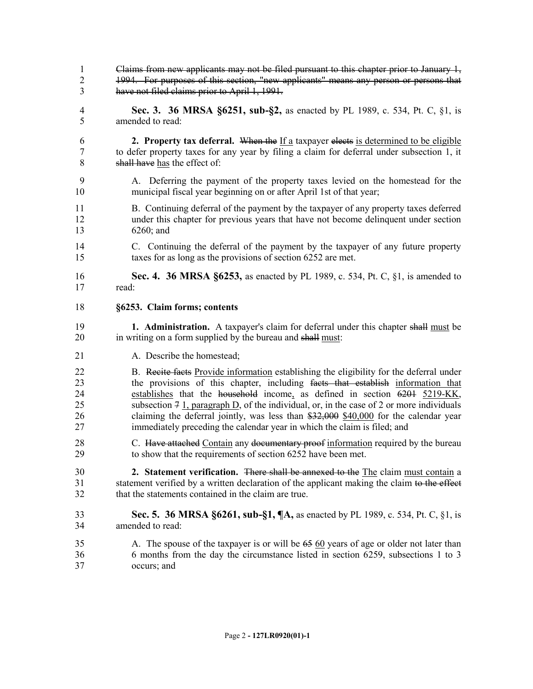- Claims from new applicants may not be filed pursuant to this chapter prior to January 1, 1994. For purposes of this section, "new applicants" means any person or persons that have not filed claims prior to April 1, 1991.
- **Sec. 3. 36 MRSA §6251, sub-§2,** as enacted by PL 1989, c. 534, Pt. C, §1, is amended to read:
- **2. Property tax deferral.** When the If a taxpayer elects is determined to be eligible to defer property taxes for any year by filing a claim for deferral under subsection 1, it shall have has the effect of:
- A. Deferring the payment of the property taxes levied on the homestead for the municipal fiscal year beginning on or after April 1st of that year;
- B. Continuing deferral of the payment by the taxpayer of any property taxes deferred under this chapter for previous years that have not become delinquent under section 6260; and
- C. Continuing the deferral of the payment by the taxpayer of any future property taxes for as long as the provisions of section 6252 are met.
- **Sec. 4. 36 MRSA §6253,** as enacted by PL 1989, c. 534, Pt. C, §1, is amended to read:
- **§6253. Claim forms; contents**
- **1. Administration.** A taxpayer's claim for deferral under this chapter shall must be 20 in writing on a form supplied by the bureau and shall must:
- 21 A. Describe the homestead:
- 22 B. Recite facts Provide information establishing the eligibility for the deferral under the provisions of this chapter, including facts that establish information that establishes that the household income, as defined in section 6201 5219-KK, 25 subsection  $7 \text{ 1}$ , paragraph D, of the individual, or, in the case of 2 or more individuals claiming the deferral jointly, was less than \$32,000 \$40,000 for the calendar year immediately preceding the calendar year in which the claim is filed; and
- 28 C. Have attached Contain any documentary proof information required by the bureau to show that the requirements of section 6252 have been met.
- **2. Statement verification.** There shall be annexed to the The claim must contain a 31 statement verified by a written declaration of the applicant making the claim to the effect that the statements contained in the claim are true.
- **Sec. 5. 36 MRSA §6261, sub-§1, ¶A,** as enacted by PL 1989, c. 534, Pt. C, §1, is amended to read:
- A. The spouse of the taxpayer is or will be 65 60 years of age or older not later than 6 months from the day the circumstance listed in section 6259, subsections 1 to 3 occurs; and